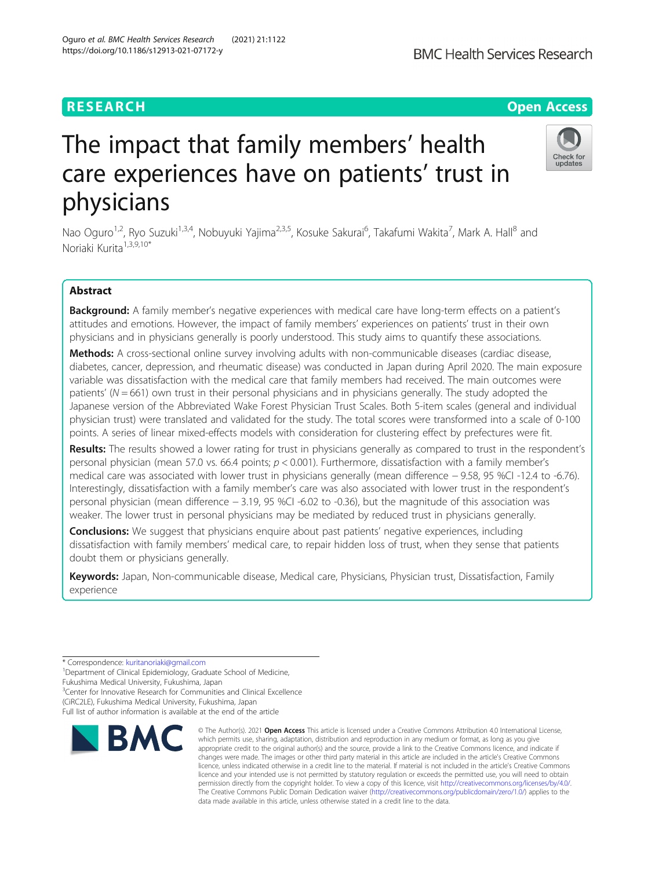# The impact that family members' health care experiences have on patients' trust in physicians

Nao Oguro<sup>1,2</sup>, Ryo Suzuki<sup>1,3,4</sup>, Nobuyuki Yajima<sup>2,3,5</sup>, Kosuke Sakurai<sup>6</sup>, Takafumi Wakita<sup>7</sup>, Mark A. Hall<sup>8</sup> and Noriaki Kurita<sup>1,3,9,10\*</sup>

# Abstract

Background: A family member's negative experiences with medical care have long-term effects on a patient's attitudes and emotions. However, the impact of family members' experiences on patients' trust in their own physicians and in physicians generally is poorly understood. This study aims to quantify these associations.

Methods: A cross-sectional online survey involving adults with non-communicable diseases (cardiac disease, diabetes, cancer, depression, and rheumatic disease) was conducted in Japan during April 2020. The main exposure variable was dissatisfaction with the medical care that family members had received. The main outcomes were patients' ( $N = 661$ ) own trust in their personal physicians and in physicians generally. The study adopted the Japanese version of the Abbreviated Wake Forest Physician Trust Scales. Both 5-item scales (general and individual physician trust) were translated and validated for the study. The total scores were transformed into a scale of 0-100 points. A series of linear mixed-effects models with consideration for clustering effect by prefectures were fit.

Results: The results showed a lower rating for trust in physicians generally as compared to trust in the respondent's personal physician (mean 57.0 vs. 66.4 points;  $p < 0.001$ ). Furthermore, dissatisfaction with a family member's medical care was associated with lower trust in physicians generally (mean difference − 9.58, 95 %CI -12.4 to -6.76). Interestingly, dissatisfaction with a family member's care was also associated with lower trust in the respondent's personal physician (mean difference − 3.19, 95 %CI -6.02 to -0.36), but the magnitude of this association was weaker. The lower trust in personal physicians may be mediated by reduced trust in physicians generally.

**Conclusions:** We suggest that physicians enquire about past patients' negative experiences, including dissatisfaction with family members' medical care, to repair hidden loss of trust, when they sense that patients doubt them or physicians generally.

Keywords: Japan, Non-communicable disease, Medical care, Physicians, Physician trust, Dissatisfaction, Family experience

\* Correspondence: [kuritanoriaki@gmail.com](mailto:kuritanoriaki@gmail.com) <sup>1</sup>

<sup>1</sup>Department of Clinical Epidemiology, Graduate School of Medicine,

# Fukushima Medical University, Fukushima, Japan

<sup>3</sup> Center for Innovative Research for Communities and Clinical Excellence (CiRC2LE), Fukushima Medical University, Fukushima, Japan

Full list of author information is available at the end of the article



© The Author(s), 2021 **Open Access** This article is licensed under a Creative Commons Attribution 4.0 International License, which permits use, sharing, adaptation, distribution and reproduction in any medium or format, as long as you give





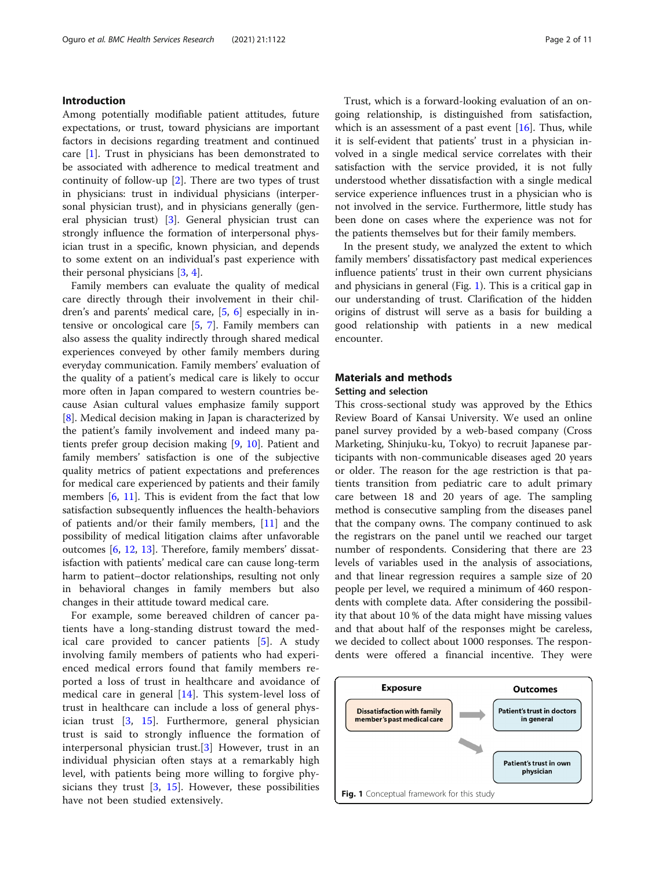# Introduction

Among potentially modifiable patient attitudes, future expectations, or trust, toward physicians are important factors in decisions regarding treatment and continued care [[1\]](#page-9-0). Trust in physicians has been demonstrated to be associated with adherence to medical treatment and continuity of follow-up [\[2](#page-9-0)]. There are two types of trust in physicians: trust in individual physicians (interpersonal physician trust), and in physicians generally (general physician trust) [\[3\]](#page-9-0). General physician trust can strongly influence the formation of interpersonal physician trust in a specific, known physician, and depends to some extent on an individual's past experience with their personal physicians [\[3](#page-9-0), [4](#page-9-0)].

Family members can evaluate the quality of medical care directly through their involvement in their children's and parents' medical care, [[5,](#page-9-0) [6](#page-9-0)] especially in intensive or oncological care [\[5,](#page-9-0) [7](#page-9-0)]. Family members can also assess the quality indirectly through shared medical experiences conveyed by other family members during everyday communication. Family members' evaluation of the quality of a patient's medical care is likely to occur more often in Japan compared to western countries because Asian cultural values emphasize family support [[8\]](#page-9-0). Medical decision making in Japan is characterized by the patient's family involvement and indeed many patients prefer group decision making [\[9](#page-9-0), [10\]](#page-9-0). Patient and family members' satisfaction is one of the subjective quality metrics of patient expectations and preferences for medical care experienced by patients and their family members [\[6](#page-9-0), [11](#page-9-0)]. This is evident from the fact that low satisfaction subsequently influences the health-behaviors of patients and/or their family members, [\[11\]](#page-9-0) and the possibility of medical litigation claims after unfavorable outcomes [[6,](#page-9-0) [12,](#page-9-0) [13](#page-9-0)]. Therefore, family members' dissatisfaction with patients' medical care can cause long-term harm to patient–doctor relationships, resulting not only in behavioral changes in family members but also changes in their attitude toward medical care.

For example, some bereaved children of cancer patients have a long-standing distrust toward the medical care provided to cancer patients [\[5](#page-9-0)]. A study involving family members of patients who had experienced medical errors found that family members reported a loss of trust in healthcare and avoidance of medical care in general  $[14]$  $[14]$ . This system-level loss of trust in healthcare can include a loss of general physician trust [[3](#page-9-0), [15\]](#page-9-0). Furthermore, general physician trust is said to strongly influence the formation of interpersonal physician trust.[\[3](#page-9-0)] However, trust in an individual physician often stays at a remarkably high level, with patients being more willing to forgive physicians they trust  $[3, 15]$  $[3, 15]$  $[3, 15]$  $[3, 15]$ . However, these possibilities have not been studied extensively.

Trust, which is a forward-looking evaluation of an ongoing relationship, is distinguished from satisfaction, which is an assessment of a past event  $[16]$  $[16]$ . Thus, while it is self-evident that patients' trust in a physician involved in a single medical service correlates with their satisfaction with the service provided, it is not fully understood whether dissatisfaction with a single medical service experience influences trust in a physician who is not involved in the service. Furthermore, little study has been done on cases where the experience was not for the patients themselves but for their family members.

In the present study, we analyzed the extent to which family members' dissatisfactory past medical experiences influence patients' trust in their own current physicians and physicians in general (Fig. 1). This is a critical gap in our understanding of trust. Clarification of the hidden origins of distrust will serve as a basis for building a good relationship with patients in a new medical encounter.

# Materials and methods Setting and selection

This cross-sectional study was approved by the Ethics Review Board of Kansai University. We used an online panel survey provided by a web-based company (Cross Marketing, Shinjuku-ku, Tokyo) to recruit Japanese participants with non-communicable diseases aged 20 years or older. The reason for the age restriction is that patients transition from pediatric care to adult primary care between 18 and 20 years of age. The sampling method is consecutive sampling from the diseases panel that the company owns. The company continued to ask the registrars on the panel until we reached our target number of respondents. Considering that there are 23 levels of variables used in the analysis of associations, and that linear regression requires a sample size of 20 people per level, we required a minimum of 460 respondents with complete data. After considering the possibility that about 10 % of the data might have missing values and that about half of the responses might be careless, we decided to collect about 1000 responses. The respondents were offered a financial incentive. They were

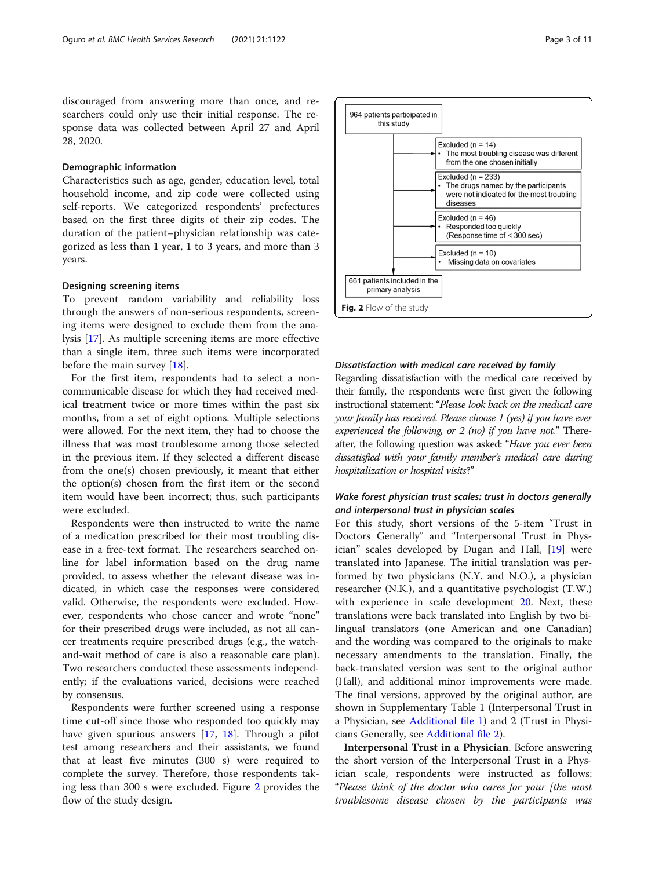discouraged from answering more than once, and researchers could only use their initial response. The response data was collected between April 27 and April 28, 2020.

# Demographic information

Characteristics such as age, gender, education level, total household income, and zip code were collected using self-reports. We categorized respondents' prefectures based on the first three digits of their zip codes. The duration of the patient–physician relationship was categorized as less than 1 year, 1 to 3 years, and more than 3 years.

## Designing screening items

To prevent random variability and reliability loss through the answers of non-serious respondents, screening items were designed to exclude them from the analysis [\[17\]](#page-9-0). As multiple screening items are more effective than a single item, three such items were incorporated before the main survey [[18\]](#page-10-0).

For the first item, respondents had to select a noncommunicable disease for which they had received medical treatment twice or more times within the past six months, from a set of eight options. Multiple selections were allowed. For the next item, they had to choose the illness that was most troublesome among those selected in the previous item. If they selected a different disease from the one(s) chosen previously, it meant that either the option(s) chosen from the first item or the second item would have been incorrect; thus, such participants were excluded.

Respondents were then instructed to write the name of a medication prescribed for their most troubling disease in a free-text format. The researchers searched online for label information based on the drug name provided, to assess whether the relevant disease was indicated, in which case the responses were considered valid. Otherwise, the respondents were excluded. However, respondents who chose cancer and wrote "none" for their prescribed drugs were included, as not all cancer treatments require prescribed drugs (e.g., the watchand-wait method of care is also a reasonable care plan). Two researchers conducted these assessments independently; if the evaluations varied, decisions were reached by consensus.

Respondents were further screened using a response time cut-off since those who responded too quickly may have given spurious answers [[17,](#page-9-0) [18](#page-10-0)]. Through a pilot test among researchers and their assistants, we found that at least five minutes (300 s) were required to complete the survey. Therefore, those respondents taking less than 300 s were excluded. Figure 2 provides the flow of the study design.



# Dissatisfaction with medical care received by family

Regarding dissatisfaction with the medical care received by their family, the respondents were first given the following instructional statement: "Please look back on the medical care your family has received. Please choose 1 (yes) if you have ever experienced the following, or 2 (no) if you have not." Thereafter, the following question was asked: "Have you ever been dissatisfied with your family member's medical care during hospitalization or hospital visits?"

# Wake forest physician trust scales: trust in doctors generally and interpersonal trust in physician scales

For this study, short versions of the 5-item "Trust in Doctors Generally" and "Interpersonal Trust in Physician" scales developed by Dugan and Hall, [\[19](#page-10-0)] were translated into Japanese. The initial translation was performed by two physicians (N.Y. and N.O.), a physician researcher (N.K.), and a quantitative psychologist (T.W.) with experience in scale development [20.](#page-10-0) Next, these translations were back translated into English by two bilingual translators (one American and one Canadian) and the wording was compared to the originals to make necessary amendments to the translation. Finally, the back-translated version was sent to the original author (Hall), and additional minor improvements were made. The final versions, approved by the original author, are shown in Supplementary Table 1 (Interpersonal Trust in a Physician, see [Additional file 1\)](#page-9-0) and 2 (Trust in Physicians Generally, see [Additional file 2](#page-9-0)).

Interpersonal Trust in a Physician. Before answering the short version of the Interpersonal Trust in a Physician scale, respondents were instructed as follows: "Please think of the doctor who cares for your [the most troublesome disease chosen by the participants was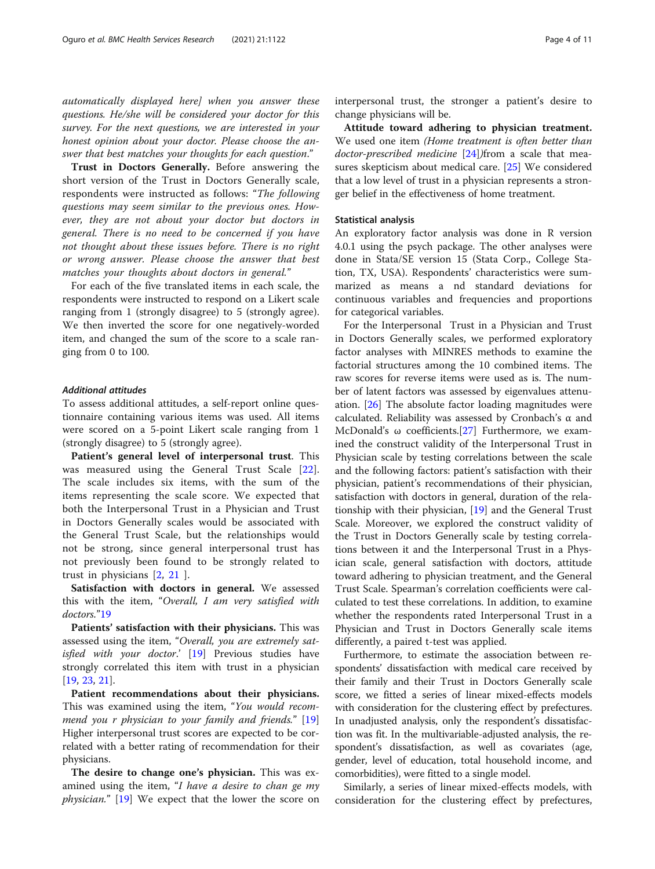automatically displayed here] when you answer these questions. He/she will be considered your doctor for this survey. For the next questions, we are interested in your honest opinion about your doctor. Please choose the answer that best matches your thoughts for each question."

Trust in Doctors Generally. Before answering the short version of the Trust in Doctors Generally scale, respondents were instructed as follows: "The following questions may seem similar to the previous ones. However, they are not about your doctor but doctors in general. There is no need to be concerned if you have not thought about these issues before. There is no right or wrong answer. Please choose the answer that best matches your thoughts about doctors in general."

For each of the five translated items in each scale, the respondents were instructed to respond on a Likert scale ranging from 1 (strongly disagree) to 5 (strongly agree). We then inverted the score for one negatively-worded item, and changed the sum of the score to a scale ranging from 0 to 100.

## Additional attitudes

To assess additional attitudes, a self-report online questionnaire containing various items was used. All items were scored on a 5-point Likert scale ranging from 1 (strongly disagree) to 5 (strongly agree).

Patient's general level of interpersonal trust. This was measured using the General Trust Scale [\[22](#page-10-0)]. The scale includes six items, with the sum of the items representing the scale score. We expected that both the Interpersonal Trust in a Physician and Trust in Doctors Generally scales would be associated with the General Trust Scale, but the relationships would not be strong, since general interpersonal trust has not previously been found to be strongly related to trust in physicians [\[2](#page-9-0), [21](#page-10-0) ].

Satisfaction with doctors in general. We assessed this with the item, "Overall, I am very satisfied with doctors."[19](#page-10-0)

Patients' satisfaction with their physicians. This was assessed using the item, "Overall, you are extremely sat-isfied with your doctor.' [[19](#page-10-0)] Previous studies have strongly correlated this item with trust in a physician [[19,](#page-10-0) [23,](#page-10-0) [21](#page-10-0)].

Patient recommendations about their physicians. This was examined using the item, "You would recommend you r physician to your family and friends." [[19](#page-10-0)] Higher interpersonal trust scores are expected to be correlated with a better rating of recommendation for their physicians.

The desire to change one's physician. This was examined using the item, "I have a desire to chan ge my physician." [[19\]](#page-10-0) We expect that the lower the score on interpersonal trust, the stronger a patient's desire to change physicians will be.

Attitude toward adhering to physician treatment. We used one item (Home treatment is often better than doctor-prescribed medicine [\[24](#page-10-0)])from a scale that measures skepticism about medical care. [[25\]](#page-10-0) We considered that a low level of trust in a physician represents a stronger belief in the effectiveness of home treatment.

# Statistical analysis

An exploratory factor analysis was done in R version 4.0.1 using the psych package. The other analyses were done in Stata/SE version 15 (Stata Corp., College Station, TX, USA). Respondents' characteristics were summarized as means a nd standard deviations for continuous variables and frequencies and proportions for categorical variables.

For the Interpersonal Trust in a Physician and Trust in Doctors Generally scales, we performed exploratory factor analyses with MINRES methods to examine the factorial structures among the 10 combined items. The raw scores for reverse items were used as is. The number of latent factors was assessed by eigenvalues attenuation. [\[26](#page-10-0)] The absolute factor loading magnitudes were calculated. Reliability was assessed by Cronbach's α and McDonald's  $\omega$  coefficients.[[27\]](#page-10-0) Furthermore, we examined the construct validity of the Interpersonal Trust in Physician scale by testing correlations between the scale and the following factors: patient's satisfaction with their physician, patient's recommendations of their physician, satisfaction with doctors in general, duration of the relationship with their physician, [[19](#page-10-0)] and the General Trust Scale. Moreover, we explored the construct validity of the Trust in Doctors Generally scale by testing correlations between it and the Interpersonal Trust in a Physician scale, general satisfaction with doctors, attitude toward adhering to physician treatment, and the General Trust Scale. Spearman's correlation coefficients were calculated to test these correlations. In addition, to examine whether the respondents rated Interpersonal Trust in a Physician and Trust in Doctors Generally scale items differently, a paired t-test was applied.

Furthermore, to estimate the association between respondents' dissatisfaction with medical care received by their family and their Trust in Doctors Generally scale score, we fitted a series of linear mixed-effects models with consideration for the clustering effect by prefectures. In unadjusted analysis, only the respondent's dissatisfaction was fit. In the multivariable-adjusted analysis, the respondent's dissatisfaction, as well as covariates (age, gender, level of education, total household income, and comorbidities), were fitted to a single model.

Similarly, a series of linear mixed-effects models, with consideration for the clustering effect by prefectures,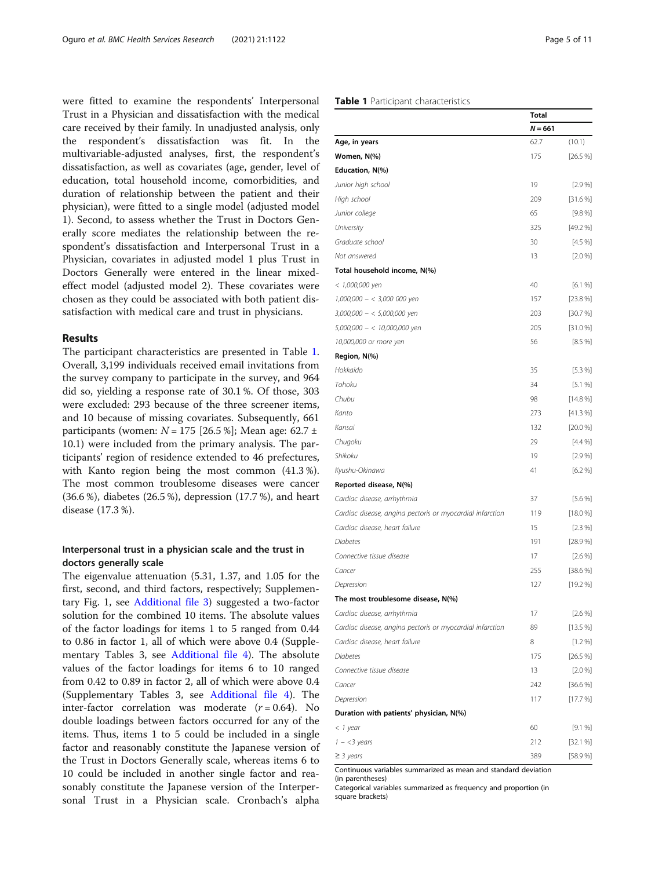were fitted to examine the respondents' Interpersonal Trust in a Physician and dissatisfaction with the medical care received by their family. In unadjusted analysis, only the respondent's dissatisfaction was fit. In the multivariable-adjusted analyses, first, the respondent's dissatisfaction, as well as covariates (age, gender, level of education, total household income, comorbidities, and duration of relationship between the patient and their physician), were fitted to a single model (adjusted model 1). Second, to assess whether the Trust in Doctors Generally score mediates the relationship between the respondent's dissatisfaction and Interpersonal Trust in a Physician, covariates in adjusted model 1 plus Trust in Doctors Generally were entered in the linear mixedeffect model (adjusted model 2). These covariates were chosen as they could be associated with both patient dissatisfaction with medical care and trust in physicians.

#### Results

The participant characteristics are presented in Table 1. Overall, 3,199 individuals received email invitations from the survey company to participate in the survey, and 964 did so, yielding a response rate of 30.1 %. Of those, 303 were excluded: 293 because of the three screener items, and 10 because of missing covariates. Subsequently, 661 participants (women:  $N = 175$  [26.5 %]; Mean age: 62.7 ± 10.1) were included from the primary analysis. The participants' region of residence extended to 46 prefectures, with Kanto region being the most common (41.3 %). The most common troublesome diseases were cancer (36.6 %), diabetes (26.5 %), depression (17.7 %), and heart disease (17.3 %).

# Interpersonal trust in a physician scale and the trust in doctors generally scale

The eigenvalue attenuation (5.31, 1.37, and 1.05 for the first, second, and third factors, respectively; Supplementary Fig. 1, see [Additional file 3\)](#page-9-0) suggested a two-factor solution for the combined 10 items. The absolute values of the factor loadings for items 1 to 5 ranged from 0.44 to 0.86 in factor 1, all of which were above 0.4 (Supplementary Tables 3, see [Additional file 4\)](#page-9-0). The absolute values of the factor loadings for items 6 to 10 ranged from 0.42 to 0.89 in factor 2, all of which were above 0.4 (Supplementary Tables 3, see [Additional file 4](#page-9-0)). The inter-factor correlation was moderate  $(r = 0.64)$ . No double loadings between factors occurred for any of the items. Thus, items 1 to 5 could be included in a single factor and reasonably constitute the Japanese version of the Trust in Doctors Generally scale, whereas items 6 to 10 could be included in another single factor and reasonably constitute the Japanese version of the Interpersonal Trust in a Physician scale. Cronbach's alpha

# Table 1 Participant characteristics

|                                                                | <b>Total</b> |              |
|----------------------------------------------------------------|--------------|--------------|
|                                                                | $N = 661$    |              |
| Age, in years                                                  | 62.7         | (10.1)       |
| Women, N(%)                                                    | 175          | [26.5%]      |
| Education, N(%)                                                |              |              |
| Junior high school                                             | 19           | [2.9%]       |
| High school                                                    | 209          | [31.6%]      |
| Junior college                                                 | 65           | [9.8%]       |
| University                                                     | 325          | $[49.2\%]$   |
| Graduate school                                                | 30           | $[4.5\%]$    |
| Not answered                                                   | 13           | $[2.0\%]$    |
| Total household income, N(%)                                   |              |              |
| < 1,000,000 yen                                                | 40           | [6.1%]       |
| 1,000,000 - < 3,000 000 yen                                    | 157          | [23.8%]      |
| 3,000,000 - < 5,000,000 yen                                    | 203          | [30.7%]      |
| 5,000,000 - < 10,000,000 yen                                   | 205          | [31.0%]      |
| 10,000,000 or more yen                                         | 56           | [8.5%]       |
| Region, N(%)                                                   |              |              |
| Hokkaido                                                       | 35           | [5.3%]       |
| Tohoku                                                         | 34           | [5.1%]       |
| Chubu                                                          | 98           | [14.8%]      |
| Kanto                                                          | 273          | [41.3%]      |
| Kansai                                                         | 132          | $[20.0\%]$   |
| Chugoku                                                        | 29           | $[4.4\%]$    |
| Shikoku                                                        | 19           | $[2.9\%]$    |
| Kyushu-Okinawa                                                 | 41           | [6.2%]       |
| Reported disease, N(%)                                         |              |              |
| Cardiac disease, arrhythmia                                    | 37           | $[5.6\%]$    |
| Cardiac disease, angina pectoris or myocardial infarction      | 119          | $[18.0\%]$   |
| Cardiac disease, heart failure                                 | 15           | $[2.3\%]$    |
| <b>Diabetes</b>                                                | 191          | [28.9%]      |
| Connective tissue disease                                      | 17           | [2.6%]       |
| Cancer                                                         | 255          | [38.6%]      |
| Depression                                                     | 127          | $[19.2\%]$   |
| The most troublesome disease, N(%)                             |              |              |
| Cardiac disease, arrhythmia                                    | 17           | $[2.6\%]$    |
| Cardiac disease, angina pectoris or myocardial infarction      | 89           | [13.5%]      |
| Cardiac disease, heart failure                                 | 8            | $[1.2\%]$    |
| Diabetes                                                       | 175          | [26.5%]      |
| Connective tissue disease                                      | 13           | $[2.0\%]$    |
| Cancer                                                         | 242          | $[36.6\,\%]$ |
| Depression                                                     | 117          | $[17.7\%]$   |
| Duration with patients' physician, N(%)                        |              |              |
| $<$ 1 year                                                     | 60           | [9.1%]       |
| $1 - <$ 3 years                                                | 212          | [32.1%]      |
| $\geq$ 3 years                                                 | 389          | [58.9 %]     |
| Continuous variables summarized as mean and standard deviation |              |              |

(in parentheses)

Categorical variables summarized as frequency and proportion (in square brackets)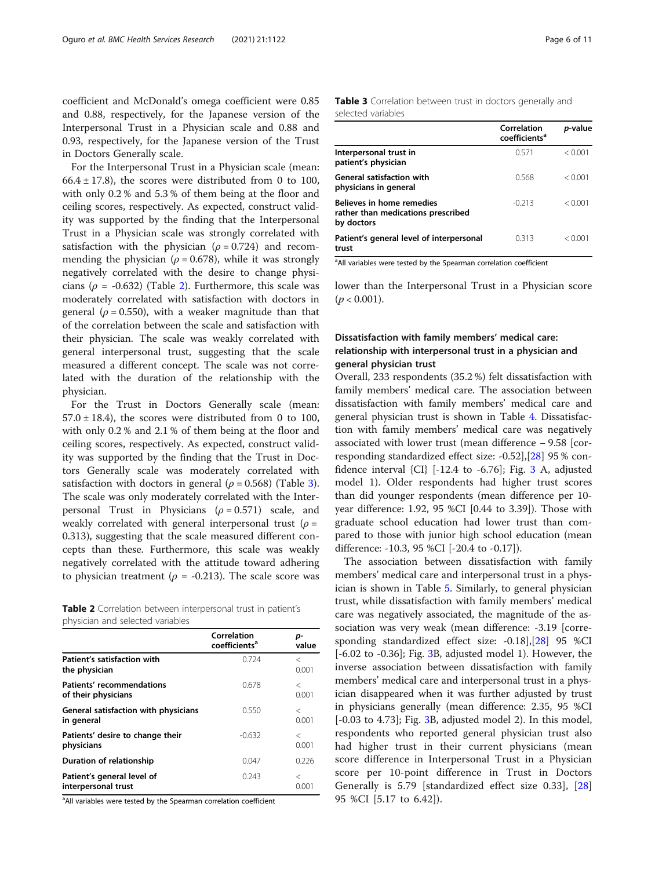coefficient and McDonald's omega coefficient were 0.85 and 0.88, respectively, for the Japanese version of the Interpersonal Trust in a Physician scale and 0.88 and 0.93, respectively, for the Japanese version of the Trust in Doctors Generally scale.

For the Interpersonal Trust in a Physician scale (mean:  $66.4 \pm 17.8$ ), the scores were distributed from 0 to 100, with only 0.2 % and 5.3 % of them being at the floor and ceiling scores, respectively. As expected, construct validity was supported by the finding that the Interpersonal Trust in a Physician scale was strongly correlated with satisfaction with the physician ( $\rho = 0.724$ ) and recommending the physician ( $\rho = 0.678$ ), while it was strongly negatively correlated with the desire to change physicians ( $\rho$  = -0.632) (Table 2). Furthermore, this scale was moderately correlated with satisfaction with doctors in general ( $\rho = 0.550$ ), with a weaker magnitude than that of the correlation between the scale and satisfaction with their physician. The scale was weakly correlated with general interpersonal trust, suggesting that the scale measured a different concept. The scale was not correlated with the duration of the relationship with the physician.

For the Trust in Doctors Generally scale (mean:  $57.0 \pm 18.4$ ), the scores were distributed from 0 to 100, with only 0.2 % and 2.1 % of them being at the floor and ceiling scores, respectively. As expected, construct validity was supported by the finding that the Trust in Doctors Generally scale was moderately correlated with satisfaction with doctors in general ( $\rho$  = 0.568) (Table 3). The scale was only moderately correlated with the Interpersonal Trust in Physicians ( $\rho = 0.571$ ) scale, and weakly correlated with general interpersonal trust ( $\rho =$ 0.313), suggesting that the scale measured different concepts than these. Furthermore, this scale was weakly negatively correlated with the attitude toward adhering to physician treatment ( $\rho$  = -0.213). The scale score was

|                                  |  | Table 2 Correlation between interpersonal trust in patient's |  |
|----------------------------------|--|--------------------------------------------------------------|--|
| physician and selected variables |  |                                                              |  |

|                                                    | Correlation<br>coefficients <sup>a</sup> | p-<br>value      |
|----------------------------------------------------|------------------------------------------|------------------|
| Patient's satisfaction with<br>the physician       | 0.724                                    | ✓<br>0.001       |
| Patients' recommendations<br>of their physicians   | 0.678                                    | $\,<\,$<br>0.001 |
| General satisfaction with physicians<br>in general | 0.550                                    | $\,<\,$<br>0.001 |
| Patients' desire to change their<br>physicians     | $-0.632$                                 | $\,<\,$<br>0.001 |
| Duration of relationship                           | 0.047                                    | 0.226            |
| Patient's general level of<br>interpersonal trust  | 0.243                                    | $\,<\,$<br>0.001 |

<sup>a</sup>All variables were tested by the Spearman correlation coefficient

# Table 3 Correlation between trust in doctors generally and selected variables

|                                                                                      | Correlation<br>coefficients <sup>a</sup> | <i>p</i> -value |
|--------------------------------------------------------------------------------------|------------------------------------------|-----------------|
| Interpersonal trust in<br>patient's physician                                        | 0571                                     | < 0.001         |
| <b>General satisfaction with</b><br>physicians in general                            | 0.568                                    | < 0.001         |
| <b>Believes in home remedies</b><br>rather than medications prescribed<br>by doctors | $-0.213$                                 | < 0.001         |
| Patient's general level of interpersonal<br>trust                                    | 0313                                     | < 0.001         |

<sup>a</sup> All variables were tested by the Spearman correlation coefficient

lower than the Interpersonal Trust in a Physician score  $(p < 0.001)$ .

# Dissatisfaction with family members' medical care: relationship with interpersonal trust in a physician and general physician trust

Overall, 233 respondents (35.2 %) felt dissatisfaction with family members' medical care. The association between dissatisfaction with family members' medical care and general physician trust is shown in Table [4](#page-6-0). Dissatisfaction with family members' medical care was negatively associated with lower trust (mean difference − 9.58 [corresponding standardized effect size: -0.52],[\[28](#page-10-0)] 95 % confidence interval  $\{CI\}$  [-12.4 to -6.76]; Fig. [3](#page-6-0) A, adjusted model 1). Older respondents had higher trust scores than did younger respondents (mean difference per 10 year difference: 1.92, 95 %CI [0.44 to 3.39]). Those with graduate school education had lower trust than compared to those with junior high school education (mean difference: -10.3, 95 %CI [-20.4 to -0.17]).

The association between dissatisfaction with family members' medical care and interpersonal trust in a physician is shown in Table [5](#page-7-0). Similarly, to general physician trust, while dissatisfaction with family members' medical care was negatively associated, the magnitude of the association was very weak (mean difference: -3.19 [corresponding standardized effect size: -0.18],[[28\]](#page-10-0) 95 %CI  $[-6.02 \text{ to } -0.36]$  $[-6.02 \text{ to } -0.36]$  $[-6.02 \text{ to } -0.36]$ ; Fig. 3B, adjusted model 1). However, the inverse association between dissatisfaction with family members' medical care and interpersonal trust in a physician disappeared when it was further adjusted by trust in physicians generally (mean difference: 2.35, 95 %CI [-0.03 to 4.73]; Fig. [3B](#page-6-0), adjusted model 2). In this model, respondents who reported general physician trust also had higher trust in their current physicians (mean score difference in Interpersonal Trust in a Physician score per 10-point difference in Trust in Doctors Generally is 5.79 [standardized effect size 0.33], [\[28](#page-10-0)] 95 %CI [5.17 to 6.42]).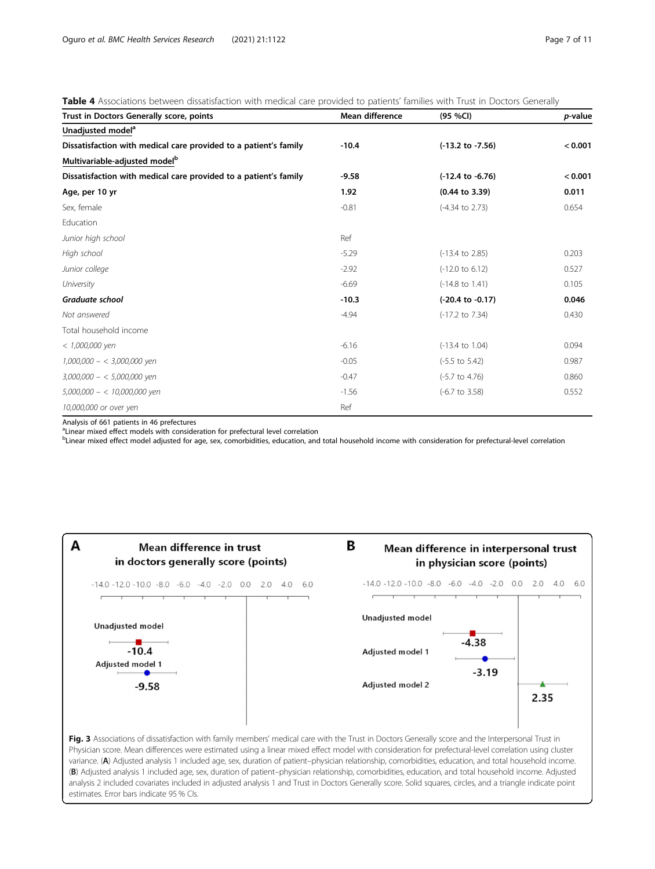# <span id="page-6-0"></span>Table 4 Associations between dissatisfaction with medical care provided to patients' families with Trust in Doctors Generally

| Trust in Doctors Generally score, points                         | <b>Mean difference</b> | (95 % <i>C</i> )            | <i>p</i> -value |
|------------------------------------------------------------------|------------------------|-----------------------------|-----------------|
| Unadjusted model <sup>a</sup>                                    |                        |                             |                 |
| Dissatisfaction with medical care provided to a patient's family | $-10.4$                | $(-13.2$ to $-7.56)$        | < 0.001         |
| Multivariable-adjusted model <sup>b</sup>                        |                        |                             |                 |
| Dissatisfaction with medical care provided to a patient's family | $-9.58$                | $(-12.4 \text{ to } -6.76)$ | < 0.001         |
| Age, per 10 yr                                                   | 1.92                   | $(0.44 \text{ to } 3.39)$   | 0.011           |
| Sex, female                                                      | $-0.81$                | (-4.34 to 2.73)             | 0.654           |
| Education                                                        |                        |                             |                 |
| Junior high school                                               | Ref                    |                             |                 |
| High school                                                      | $-5.29$                | (-13.4 to 2.85)             | 0.203           |
| Junior college                                                   | $-2.92$                | $(-12.0 \text{ to } 6.12)$  | 0.527           |
| University                                                       | $-6.69$                | $(-14.8 \text{ to } 1.41)$  | 0.105           |
| Graduate school                                                  | $-10.3$                | $(-20.4 \text{ to } -0.17)$ | 0.046           |
| Not answered                                                     | $-4.94$                | (-17.2 to 7.34)             | 0.430           |
| Total household income                                           |                        |                             |                 |
| $< 1,000,000$ yen                                                | $-6.16$                | $(-13.4 \text{ to } 1.04)$  | 0.094           |
| $1,000,000 - < 3,000,000$ yen                                    | $-0.05$                | $(-5.5 \text{ to } 5.42)$   | 0.987           |
| $3,000,000 - 5,000,000$ yen                                      | $-0.47$                | $(-5.7 \text{ to } 4.76)$   | 0.860           |
| $5,000,000 - < 10,000,000$ yen                                   | $-1.56$                | $(-6.7 \text{ to } 3.58)$   | 0.552           |
| 10,000,000 or over yen                                           | Ref                    |                             |                 |

Analysis of 661 patients in 46 prefectures

<sup>a</sup>Linear mixed effect models with consideration for prefectural level correlation

bLinear mixed effect model adjusted for age, sex, comorbidities, education, and total household income with consideration for prefectural-level correlation



Physician score. Mean differences were estimated using a linear mixed effect model with consideration for prefectural-level correlation using cluster variance. (A) Adjusted analysis 1 included age, sex, duration of patient–physician relationship, comorbidities, education, and total household income. (B) Adjusted analysis 1 included age, sex, duration of patient–physician relationship, comorbidities, education, and total household income. Adjusted analysis 2 included covariates included in adjusted analysis 1 and Trust in Doctors Generally score. Solid squares, circles, and a triangle indicate point estimates. Error bars indicate 95 % CIs.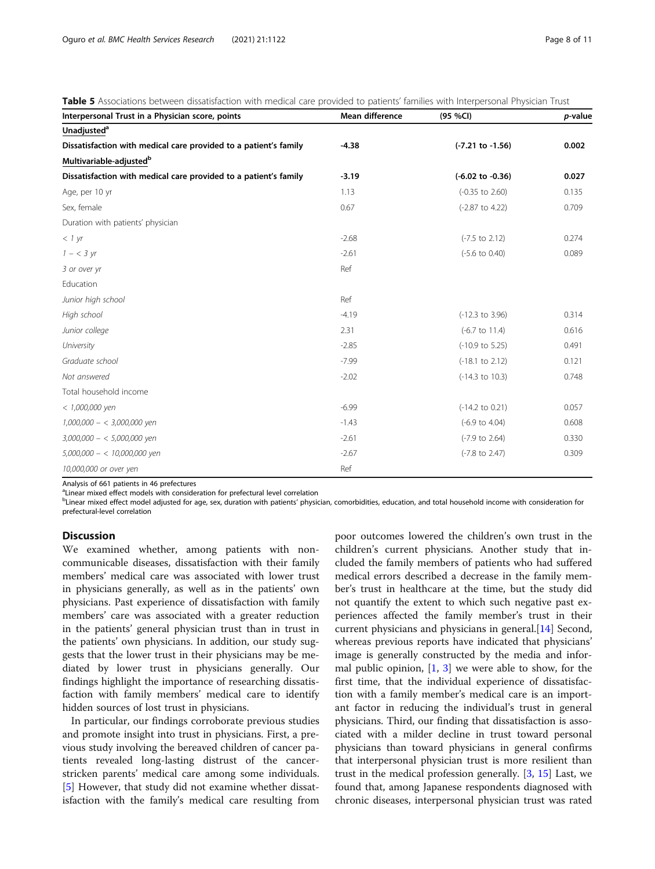| Interpersonal Trust in a Physician score, points                 | Mean difference | (95 %CI)                    | p-value |
|------------------------------------------------------------------|-----------------|-----------------------------|---------|
| Unadjusted <sup>a</sup>                                          |                 |                             |         |
| Dissatisfaction with medical care provided to a patient's family | $-4.38$         | $(-7.21$ to $-1.56)$        | 0.002   |
| Multivariable-adjusted <sup>b</sup>                              |                 |                             |         |
| Dissatisfaction with medical care provided to a patient's family | $-3.19$         | $(-6.02 \text{ to } -0.36)$ | 0.027   |
| Age, per 10 yr                                                   | 1.13            | $(-0.35$ to $2.60)$         | 0.135   |
| Sex, female                                                      | 0.67            | $(-2.87$ to 4.22)           | 0.709   |
| Duration with patients' physician                                |                 |                             |         |
| < 1 yr                                                           | $-2.68$         | $(-7.5 \text{ to } 2.12)$   | 0.274   |
| $1 - < 3 \text{ yr}$                                             | $-2.61$         | $(-5.6 \text{ to } 0.40)$   | 0.089   |
| 3 or over yr                                                     | Ref             |                             |         |
| Education                                                        |                 |                             |         |
| Junior high school                                               | Ref             |                             |         |
| High school                                                      | $-4.19$         | $(-12.3 \text{ to } 3.96)$  | 0.314   |
| Junior college                                                   | 2.31            | $(-6.7 \text{ to } 11.4)$   | 0.616   |
| University                                                       | $-2.85$         | $(-10.9 \text{ to } 5.25)$  | 0.491   |
| Graduate school                                                  | $-7.99$         | $(-18.1 \text{ to } 2.12)$  | 0.121   |
| Not answered                                                     | $-2.02$         | $(-14.3 \text{ to } 10.3)$  | 0.748   |
| Total household income                                           |                 |                             |         |
| $< 1,000,000$ yen                                                | $-6.99$         | $(-14.2 \text{ to } 0.21)$  | 0.057   |
| $1,000,000 - < 3,000,000$ yen                                    | $-1.43$         | $(-6.9 \text{ to } 4.04)$   | 0.608   |
| $3,000,000 - 5,000,000$ yen                                      | $-2.61$         | $(-7.9 \text{ to } 2.64)$   | 0.330   |
| $5,000,000 - < 10,000,000$ yen                                   | $-2.67$         | $(-7.8 \text{ to } 2.47)$   | 0.309   |
| 10,000,000 or over yen                                           | Ref             |                             |         |

<span id="page-7-0"></span>Table 5 Associations between dissatisfaction with medical care provided to patients' families with Interpersonal Physician Trust

Analysis of 661 patients in 46 prefectures

<sup>a</sup>Linear mixed effect models with consideration for prefectural level correlation

bLinear mixed effect model adjusted for age, sex, duration with patients' physician, comorbidities, education, and total household income with consideration for prefectural-level correlation

# **Discussion**

We examined whether, among patients with noncommunicable diseases, dissatisfaction with their family members' medical care was associated with lower trust in physicians generally, as well as in the patients' own physicians. Past experience of dissatisfaction with family members' care was associated with a greater reduction in the patients' general physician trust than in trust in the patients' own physicians. In addition, our study suggests that the lower trust in their physicians may be mediated by lower trust in physicians generally. Our findings highlight the importance of researching dissatisfaction with family members' medical care to identify hidden sources of lost trust in physicians.

In particular, our findings corroborate previous studies and promote insight into trust in physicians. First, a previous study involving the bereaved children of cancer patients revealed long-lasting distrust of the cancerstricken parents' medical care among some individuals. [[5\]](#page-9-0) However, that study did not examine whether dissatisfaction with the family's medical care resulting from

poor outcomes lowered the children's own trust in the children's current physicians. Another study that included the family members of patients who had suffered medical errors described a decrease in the family member's trust in healthcare at the time, but the study did not quantify the extent to which such negative past experiences affected the family member's trust in their current physicians and physicians in general.[[14\]](#page-9-0) Second, whereas previous reports have indicated that physicians' image is generally constructed by the media and informal public opinion,  $[1, 3]$  $[1, 3]$  $[1, 3]$  we were able to show, for the first time, that the individual experience of dissatisfaction with a family member's medical care is an important factor in reducing the individual's trust in general physicians. Third, our finding that dissatisfaction is associated with a milder decline in trust toward personal physicians than toward physicians in general confirms that interpersonal physician trust is more resilient than trust in the medical profession generally.  $[3, 15]$  $[3, 15]$  $[3, 15]$  $[3, 15]$  Last, we found that, among Japanese respondents diagnosed with chronic diseases, interpersonal physician trust was rated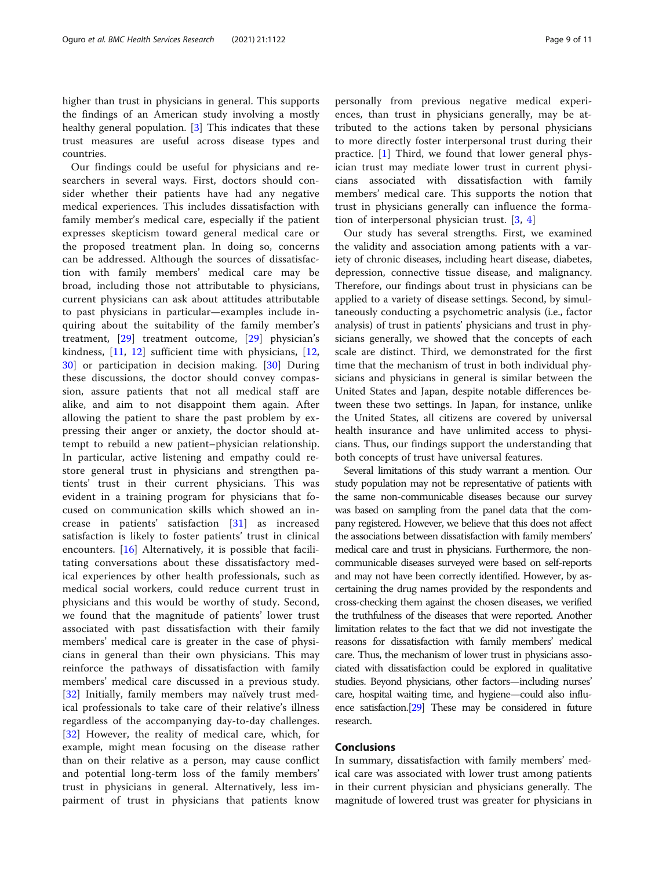higher than trust in physicians in general. This supports the findings of an American study involving a mostly healthy general population. [\[3](#page-9-0)] This indicates that these trust measures are useful across disease types and countries.

Our findings could be useful for physicians and researchers in several ways. First, doctors should consider whether their patients have had any negative medical experiences. This includes dissatisfaction with family member's medical care, especially if the patient expresses skepticism toward general medical care or the proposed treatment plan. In doing so, concerns can be addressed. Although the sources of dissatisfaction with family members' medical care may be broad, including those not attributable to physicians, current physicians can ask about attitudes attributable to past physicians in particular—examples include inquiring about the suitability of the family member's treatment, [[29\]](#page-10-0) treatment outcome, [[29\]](#page-10-0) physician's kindness, [[11,](#page-9-0) [12\]](#page-9-0) sufficient time with physicians, [\[12](#page-9-0), [30\]](#page-10-0) or participation in decision making. [[30\]](#page-10-0) During these discussions, the doctor should convey compassion, assure patients that not all medical staff are alike, and aim to not disappoint them again. After allowing the patient to share the past problem by expressing their anger or anxiety, the doctor should attempt to rebuild a new patient–physician relationship. In particular, active listening and empathy could restore general trust in physicians and strengthen patients' trust in their current physicians. This was evident in a training program for physicians that focused on communication skills which showed an increase in patients' satisfaction [[31\]](#page-10-0) as increased satisfaction is likely to foster patients' trust in clinical encounters. [\[16](#page-9-0)] Alternatively, it is possible that facilitating conversations about these dissatisfactory medical experiences by other health professionals, such as medical social workers, could reduce current trust in physicians and this would be worthy of study. Second, we found that the magnitude of patients' lower trust associated with past dissatisfaction with their family members' medical care is greater in the case of physicians in general than their own physicians. This may reinforce the pathways of dissatisfaction with family members' medical care discussed in a previous study. [[32\]](#page-10-0) Initially, family members may naïvely trust medical professionals to take care of their relative's illness regardless of the accompanying day-to-day challenges. [[32\]](#page-10-0) However, the reality of medical care, which, for example, might mean focusing on the disease rather than on their relative as a person, may cause conflict and potential long-term loss of the family members' trust in physicians in general. Alternatively, less impairment of trust in physicians that patients know personally from previous negative medical experiences, than trust in physicians generally, may be attributed to the actions taken by personal physicians to more directly foster interpersonal trust during their practice. [\[1](#page-9-0)] Third, we found that lower general physician trust may mediate lower trust in current physicians associated with dissatisfaction with family members' medical care. This supports the notion that trust in physicians generally can influence the formation of interpersonal physician trust. [[3,](#page-9-0) [4](#page-9-0)]

Our study has several strengths. First, we examined the validity and association among patients with a variety of chronic diseases, including heart disease, diabetes, depression, connective tissue disease, and malignancy. Therefore, our findings about trust in physicians can be applied to a variety of disease settings. Second, by simultaneously conducting a psychometric analysis (i.e., factor analysis) of trust in patients' physicians and trust in physicians generally, we showed that the concepts of each scale are distinct. Third, we demonstrated for the first time that the mechanism of trust in both individual physicians and physicians in general is similar between the United States and Japan, despite notable differences between these two settings. In Japan, for instance, unlike the United States, all citizens are covered by universal health insurance and have unlimited access to physicians. Thus, our findings support the understanding that both concepts of trust have universal features.

Several limitations of this study warrant a mention. Our study population may not be representative of patients with the same non-communicable diseases because our survey was based on sampling from the panel data that the company registered. However, we believe that this does not affect the associations between dissatisfaction with family members' medical care and trust in physicians. Furthermore, the noncommunicable diseases surveyed were based on self-reports and may not have been correctly identified. However, by ascertaining the drug names provided by the respondents and cross-checking them against the chosen diseases, we verified the truthfulness of the diseases that were reported. Another limitation relates to the fact that we did not investigate the reasons for dissatisfaction with family members' medical care. Thus, the mechanism of lower trust in physicians associated with dissatisfaction could be explored in qualitative studies. Beyond physicians, other factors—including nurses' care, hospital waiting time, and hygiene—could also influence satisfaction.[\[29](#page-10-0)] These may be considered in future research.

# **Conclusions**

In summary, dissatisfaction with family members' medical care was associated with lower trust among patients in their current physician and physicians generally. The magnitude of lowered trust was greater for physicians in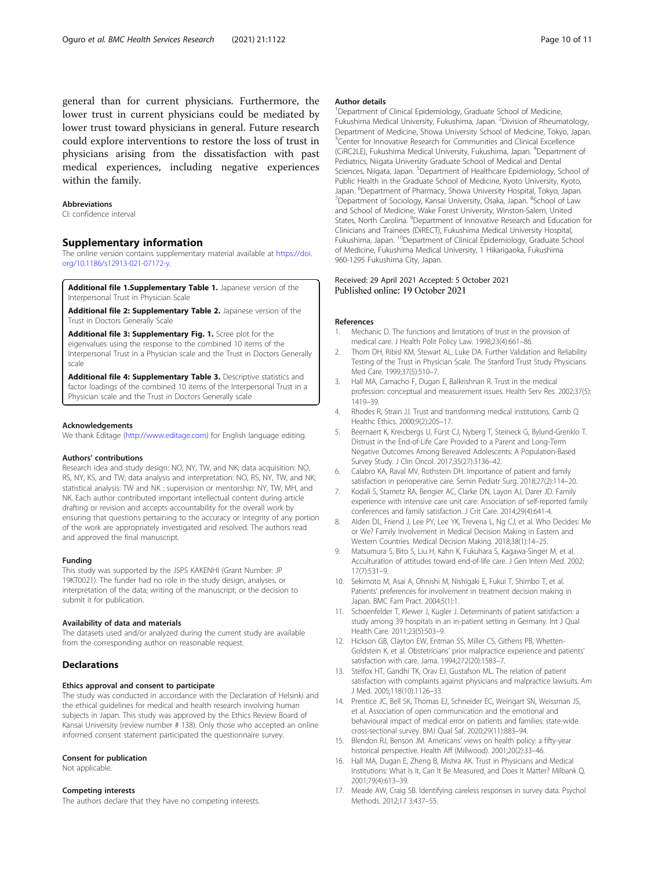<span id="page-9-0"></span>general than for current physicians. Furthermore, the lower trust in current physicians could be mediated by lower trust toward physicians in general. Future research could explore interventions to restore the loss of trust in physicians arising from the dissatisfaction with past medical experiences, including negative experiences within the family.

#### **Abbreviations**

CI: confidence interval

# Supplementary information

The online version contains supplementary material available at [https://doi.](https://doi.org/10.1186/s12913-021-07172-y) [org/10.1186/s12913-021-07172-y](https://doi.org/10.1186/s12913-021-07172-y).

Additional file 1.Supplementary Table 1. Japanese version of the Interpersonal Trust in Physician Scale

Additional file 2: Supplementary Table 2. Japanese version of the Trust in Doctors Generally Scale

Additional file 3: Supplementary Fig. 1. Scree plot for the eigenvalues using the response to the combined 10 items of the Interpersonal Trust in a Physician scale and the Trust in Doctors Generally scale

Additional file 4: Supplementary Table 3. Descriptive statistics and factor loadings of the combined 10 items of the Interpersonal Trust in a Physician scale and the Trust in Doctors Generally scale

#### Acknowledgements

We thank Editage [\(http://www.editage.com\)](http://www.editage.com) for English language editing.

#### Authors' contributions

Research idea and study design: NO, NY, TW, and NK; data acquisition: NO, RS, NY, KS, and TW; data analysis and interpretation: NO, RS, NY, TW, and NK; statistical analysis: TW and NK ; supervision or mentorship: NY, TW, MH, and NK. Each author contributed important intellectual content during article drafting or revision and accepts accountability for the overall work by ensuring that questions pertaining to the accuracy or integrity of any portion of the work are appropriately investigated and resolved. The authors read and approved the final manuscript.

## Funding

This study was supported by the JSPS KAKENHI (Grant Number: JP 19KT0021). The funder had no role in the study design, analyses, or interpretation of the data; writing of the manuscript; or the decision to submit it for publication.

#### Availability of data and materials

The datasets used and/or analyzed during the current study are available from the corresponding author on reasonable request.

# Declarations

#### Ethics approval and consent to participate

The study was conducted in accordance with the Declaration of Helsinki and the ethical guidelines for medical and health research involving human subjects in Japan. This study was approved by the Ethics Review Board of Kansai University (review number # 138). Only those who accepted an online informed consent statement participated the questionnaire survey.

#### Consent for publication

Not applicable.

# Competing interests

The authors declare that they have no competing interests.

#### Author details

<sup>1</sup>Department of Clinical Epidemiology, Graduate School of Medicine, Fukushima Medical University, Fukushima, Japan. <sup>2</sup>Division of Rheumatology, Department of Medicine, Showa University School of Medicine, Tokyo, Japan. <sup>3</sup> Center for Innovative Research for Communities and Clinical Excellence (CiRC2LE), Fukushima Medical University, Fukushima, Japan. <sup>4</sup>Department of Pediatrics, Niigata University Graduate School of Medical and Dental Sciences, Niigata, Japan. <sup>5</sup>Department of Healthcare Epidemiology, School of Public Health in the Graduate School of Medicine, Kyoto University, Kyoto, Japan. <sup>6</sup>Department of Pharmacy, Showa University Hospital, Tokyo, Japan.<br><sup>7</sup>Department of Sociology, Kansai University Osaka, Japan. <sup>8</sup>School of Law Department of Sociology, Kansai University, Osaka, Japan. <sup>8</sup>School of Law and School of Medicine, Wake Forest University, Winston-Salem, United States, North Carolina. <sup>9</sup> Department of Innovative Research and Education for Clinicians and Trainees (DiRECT), Fukushima Medical University Hospital, Fukushima, Japan. 10Department of Clinical Epidemiology, Graduate School of Medicine, Fukushima Medical University, 1 Hikarigaoka, Fukushima 960-1295 Fukushima City, Japan.

# Received: 29 April 2021 Accepted: 5 October 2021 Published online: 19 October 2021

#### References

- 1. Mechanic D. The functions and limitations of trust in the provision of medical care. J Health Polit Policy Law. 1998;23(4):661–86.
- 2. Thom DH, Ribisl KM, Stewart AL, Luke DA. Further Validation and Reliability Testing of the Trust in Physician Scale. The Stanford Trust Study Physicians. Med Care. 1999;37(5):510–7.
- 3. Hall MA, Camacho F, Dugan E, Balkrishnan R. Trust in the medical profession: conceptual and measurement issues. Health Serv Res. 2002;37(5): 1419–39.
- 4. Rhodes R, Strain JJ. Trust and transforming medical institutions. Camb Q Healthc Ethics. 2000;9(2):205–17.
- 5. Beernaert K, Kreicbergs U, Fürst CJ, Nyberg T, Steineck G, Bylund-Grenklo T. Distrust in the End-of-Life Care Provided to a Parent and Long-Term Negative Outcomes Among Bereaved Adolescents: A Population-Based Survey Study. J Clin Oncol. 2017;35(27):3136–42.
- 6. Calabro KA, Raval MV, Rothstein DH. Importance of patient and family satisfaction in perioperative care. Semin Pediatr Surg. 2018;27(2):114–20.
- 7. Kodali S, Stametz RA, Bengier AC, Clarke DN, Layon AJ, Darer JD. Family experience with intensive care unit care: Association of self-reported family conferences and family satisfaction. J Crit Care. 2014;29(4):641-4.
- 8. Alden DL, Friend J, Lee PY, Lee YK, Trevena L, Ng CJ, et al. Who Decides: Me or We? Family Involvement in Medical Decision Making in Eastern and Western Countries. Medical Decision Making. 2018;38(1):14–25.
- 9. Matsumura S, Bito S, Liu H, Kahn K, Fukuhara S, Kagawa-Singer M, et al. Acculturation of attitudes toward end-of-life care. J Gen Intern Med. 2002; 17(7):531–9.
- 10. Sekimoto M, Asai A, Ohnishi M, Nishigaki E, Fukui T, Shimbo T, et al. Patients' preferences for involvement in treatment decision making in Japan. BMC Fam Pract. 2004;5(1):1.
- 11. Schoenfelder T, Klewer J, Kugler J. Determinants of patient satisfaction: a study among 39 hospitals in an in-patient setting in Germany. Int J Qual Health Care. 2011;23(5):503–9.
- 12. Hickson GB, Clayton EW, Entman SS, Miller CS, Githens PB, Whetten-Goldstein K, et al. Obstetricians' prior malpractice experience and patients' satisfaction with care. Jama. 1994;272(20):1583–7.
- 13. Stelfox HT, Gandhi TK, Orav EJ, Gustafson ML. The relation of patient satisfaction with complaints against physicians and malpractice lawsuits. Am J Med. 2005;118(10):1126–33.
- 14. Prentice JC, Bell SK, Thomas EJ, Schneider EC, Weingart SN, Weissman JS, et al. Association of open communication and the emotional and behavioural impact of medical error on patients and families: state-wide cross-sectional survey. BMJ Qual Saf. 2020;29(11):883–94.
- 15. Blendon RJ, Benson JM. Americans' views on health policy: a fifty-year historical perspective. Health Aff (Millwood). 2001;20(2):33–46.
- 16. Hall MA, Dugan E, Zheng B, Mishra AK. Trust in Physicians and Medical Institutions: What Is It, Can It Be Measured, and Does It Matter? Milbank Q. 2001;79(4):613–39.
- 17. Meade AW, Craig SB. Identifying careless responses in survey data. Psychol Methods. 2012;17 3:437–55.